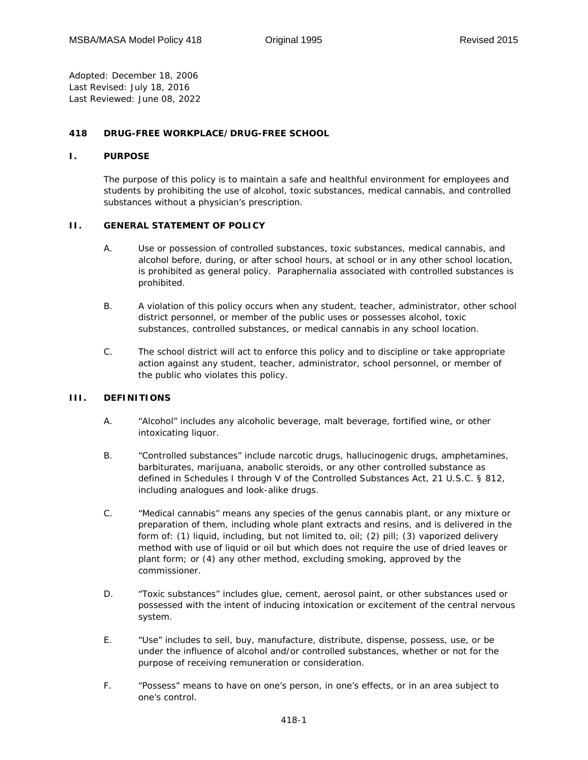*Adopted:* December 18, 2006 *Last Revised:* July 18, 2016 *Last Reviewed:* June 08, 2022

### **418 DRUG-FREE WORKPLACE/DRUG-FREE SCHOOL**

#### **I. PURPOSE**

The purpose of this policy is to maintain a safe and healthful environment for employees and students by prohibiting the use of alcohol, toxic substances, medical cannabis, and controlled substances without a physician's prescription.

#### **II. GENERAL STATEMENT OF POLICY**

- A. Use or possession of controlled substances, toxic substances, medical cannabis, and alcohol before, during, or after school hours, at school or in any other school location, is prohibited as general policy. Paraphernalia associated with controlled substances is prohibited.
- B. A violation of this policy occurs when any student, teacher, administrator, other school district personnel, or member of the public uses or possesses alcohol, toxic substances, controlled substances, or medical cannabis in any school location.
- C. The school district will act to enforce this policy and to discipline or take appropriate action against any student, teacher, administrator, school personnel, or member of the public who violates this policy.

### **III. DEFINITIONS**

- A. "Alcohol" includes any alcoholic beverage, malt beverage, fortified wine, or other intoxicating liquor.
- B. "Controlled substances" include narcotic drugs, hallucinogenic drugs, amphetamines, barbiturates, marijuana, anabolic steroids, or any other controlled substance as defined in Schedules I through V of the Controlled Substances Act, 21 U.S.C. § 812, including analogues and look-alike drugs.
- C. "Medical cannabis" means any species of the genus cannabis plant, or any mixture or preparation of them, including whole plant extracts and resins, and is delivered in the form of: (1) liquid, including, but not limited to, oil; (2) pill; (3) vaporized delivery method with use of liquid or oil but which does not require the use of dried leaves or plant form; or (4) any other method, excluding smoking, approved by the commissioner.
- D. "Toxic substances" includes glue, cement, aerosol paint, or other substances used or possessed with the intent of inducing intoxication or excitement of the central nervous system.
- E. "Use" includes to sell, buy, manufacture, distribute, dispense, possess, use, or be under the influence of alcohol and/or controlled substances, whether or not for the purpose of receiving remuneration or consideration.
- F. "Possess" means to have on one's person, in one's effects, or in an area subject to one's control.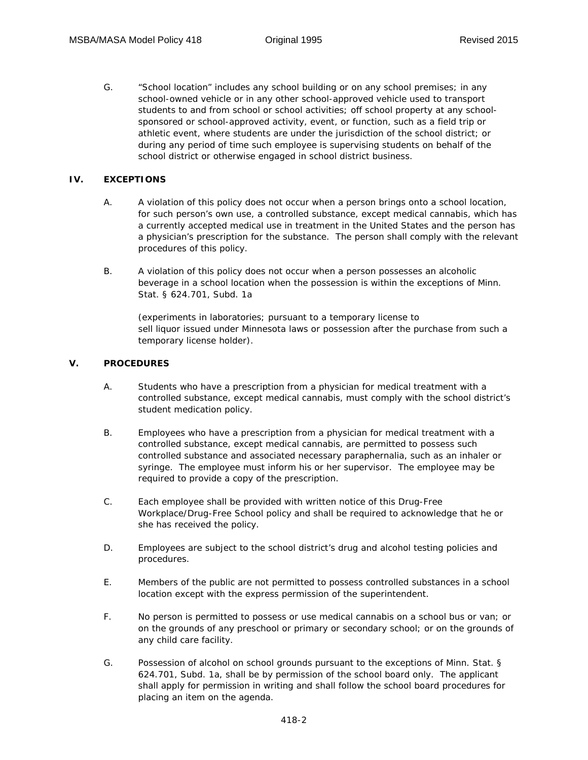G. "School location" includes any school building or on any school premises; in any school-owned vehicle or in any other school-approved vehicle used to transport students to and from school or school activities; off school property at any schoolsponsored or school-approved activity, event, or function, such as a field trip or athletic event, where students are under the jurisdiction of the school district; or during any period of time such employee is supervising students on behalf of the school district or otherwise engaged in school district business.

## **IV. EXCEPTIONS**

- A. A violation of this policy does not occur when a person brings onto a school location, for such person's own use, a controlled substance, except medical cannabis, which has a currently accepted medical use in treatment in the United States and the person has a physician's prescription for the substance. The person shall comply with the relevant procedures of this policy.
- B. A violation of this policy does not occur when a person possesses an alcoholic beverage in a school location when the possession is within the exceptions of Minn. Stat. § 624.701, Subd. 1a

(experiments in laboratories; pursuant to a temporary license to sell liquor issued under Minnesota laws or possession after the purchase from such a temporary license holder).

## **V. PROCEDURES**

- A. Students who have a prescription from a physician for medical treatment with a controlled substance, except medical cannabis, must comply with the school district's student medication policy.
- B. Employees who have a prescription from a physician for medical treatment with a controlled substance, except medical cannabis, are permitted to possess such controlled substance and associated necessary paraphernalia, such as an inhaler or syringe. The employee must inform his or her supervisor. The employee may be required to provide a copy of the prescription.
- C. Each employee shall be provided with written notice of this Drug-Free Workplace/Drug-Free School policy and shall be required to acknowledge that he or she has received the policy.
- D. Employees are subject to the school district's drug and alcohol testing policies and procedures.
- E. Members of the public are not permitted to possess controlled substances in a school location except with the express permission of the superintendent.
- F. No person is permitted to possess or use medical cannabis on a school bus or van; or on the grounds of any preschool or primary or secondary school; or on the grounds of any child care facility.
- G. Possession of alcohol on school grounds pursuant to the exceptions of Minn. Stat. § 624.701, Subd. 1a, shall be by permission of the school board only. The applicant shall apply for permission in writing and shall follow the school board procedures for placing an item on the agenda.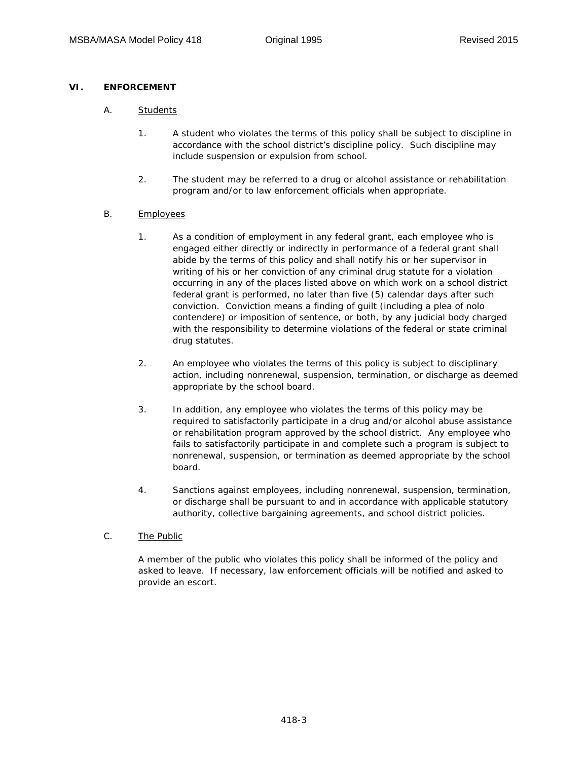# **VI. ENFORCEMENT**

- A. Students
	- 1. A student who violates the terms of this policy shall be subject to discipline in accordance with the school district's discipline policy. Such discipline may include suspension or expulsion from school.
	- 2. The student may be referred to a drug or alcohol assistance or rehabilitation program and/or to law enforcement officials when appropriate.

# B. Employees

- 1. As a condition of employment in any federal grant, each employee who is engaged either directly or indirectly in performance of a federal grant shall abide by the terms of this policy and shall notify his or her supervisor in writing of his or her conviction of any criminal drug statute for a violation occurring in any of the places listed above on which work on a school district federal grant is performed, no later than five (5) calendar days after such conviction. Conviction means a finding of guilt (including a plea of nolo contendere) or imposition of sentence, or both, by any judicial body charged with the responsibility to determine violations of the federal or state criminal drug statutes.
- 2. An employee who violates the terms of this policy is subject to disciplinary action, including nonrenewal, suspension, termination, or discharge as deemed appropriate by the school board.
- 3. In addition, any employee who violates the terms of this policy may be required to satisfactorily participate in a drug and/or alcohol abuse assistance or rehabilitation program approved by the school district. Any employee who fails to satisfactorily participate in and complete such a program is subject to nonrenewal, suspension, or termination as deemed appropriate by the school board.
- 4. Sanctions against employees, including nonrenewal, suspension, termination, or discharge shall be pursuant to and in accordance with applicable statutory authority, collective bargaining agreements, and school district policies.

### C. The Public

A member of the public who violates this policy shall be informed of the policy and asked to leave. If necessary, law enforcement officials will be notified and asked to provide an escort.